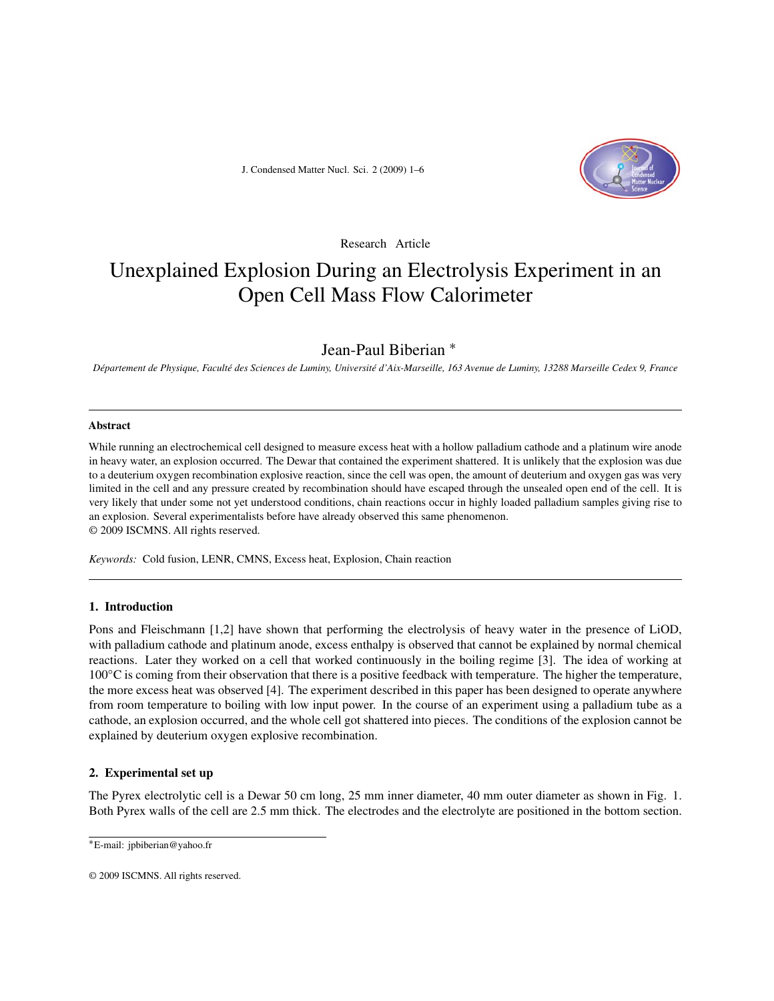J. Condensed Matter Nucl. Sci. 2 (2009) 1–6



Research Article

# Unexplained Explosion During an Electrolysis Experiment in an Open Cell Mass Flow Calorimeter

# Jean-Paul Biberian <sup>∗</sup>

*Département de Physique, Faculté des Sciences de Luminy, Université d'Aix-Marseille, 163 Avenue de Luminy, 13288 Marseille Cedex 9, France*

## **Abstract**

While running an electrochemical cell designed to measure excess heat with a hollow palladium cathode and a platinum wire anode in heavy water, an explosion occurred. The Dewar that contained the experiment shattered. It is unlikely that the explosion was due to a deuterium oxygen recombination explosive reaction, since the cell was open, the amount of deuterium and oxygen gas was very limited in the cell and any pressure created by recombination should have escaped through the unsealed open end of the cell. It is very likely that under some not yet understood conditions, chain reactions occur in highly loaded palladium samples giving rise to an explosion. Several experimentalists before have already observed this same phenomenon. © 2009 ISCMNS. All rights reserved.

*Keywords:* Cold fusion, LENR, CMNS, Excess heat, Explosion, Chain reaction

## **1. Introduction**

Pons and Fleischmann [1,2] have shown that performing the electrolysis of heavy water in the presence of LiOD, with palladium cathode and platinum anode, excess enthalpy is observed that cannot be explained by normal chemical reactions. Later they worked on a cell that worked continuously in the boiling regime [3]. The idea of working at 100◦C is coming from their observation that there is a positive feedback with temperature. The higher the temperature, the more excess heat was observed [4]. The experiment described in this paper has been designed to operate anywhere from room temperature to boiling with low input power. In the course of an experiment using a palladium tube as a cathode, an explosion occurred, and the whole cell got shattered into pieces. The conditions of the explosion cannot be explained by deuterium oxygen explosive recombination.

## **2. Experimental set up**

The Pyrex electrolytic cell is a Dewar 50 cm long, 25 mm inner diameter, 40 mm outer diameter as shown in Fig. 1. Both Pyrex walls of the cell are 2.5 mm thick. The electrodes and the electrolyte are positioned in the bottom section.

<sup>∗</sup>E-mail: jpbiberian@yahoo.fr

<sup>© 2009</sup> ISCMNS. All rights reserved.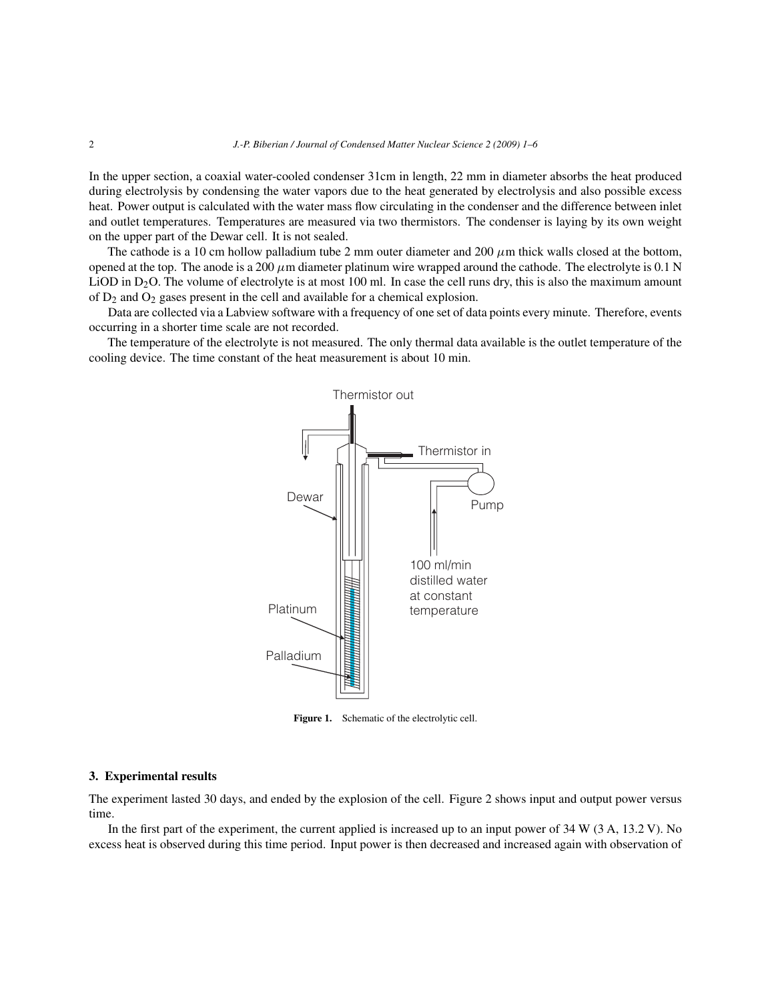In the upper section, a coaxial water-cooled condenser 31cm in length, 22 mm in diameter absorbs the heat produced during electrolysis by condensing the water vapors due to the heat generated by electrolysis and also possible excess heat. Power output is calculated with the water mass flow circulating in the condenser and the difference between inlet and outlet temperatures. Temperatures are measured via two thermistors. The condenser is laying by its own weight on the upper part of the Dewar cell. It is not sealed.

The cathode is a 10 cm hollow palladium tube 2 mm outer diameter and 200  $\mu$ m thick walls closed at the bottom, opened at the top. The anode is a 200  $\mu$ m diameter platinum wire wrapped around the cathode. The electrolyte is 0.1 N LiOD in  $D_2O$ . The volume of electrolyte is at most 100 ml. In case the cell runs dry, this is also the maximum amount of D2 and O2 gases present in the cell and available for a chemical explosion.

Data are collected via a Labview software with a frequency of one set of data points every minute. Therefore, events occurring in a shorter time scale are not recorded.

The temperature of the electrolyte is not measured. The only thermal data available is the outlet temperature of the cooling device. The time constant of the heat measurement is about 10 min.



Figure 1. Schematic of the electrolytic cell.

#### **3. Experimental results**

The experiment lasted 30 days, and ended by the explosion of the cell. Figure 2 shows input and output power versus time.

In the first part of the experiment, the current applied is increased up to an input power of 34 W (3 A, 13.2 V). No excess heat is observed during this time period. Input power is then decreased and increased again with observation of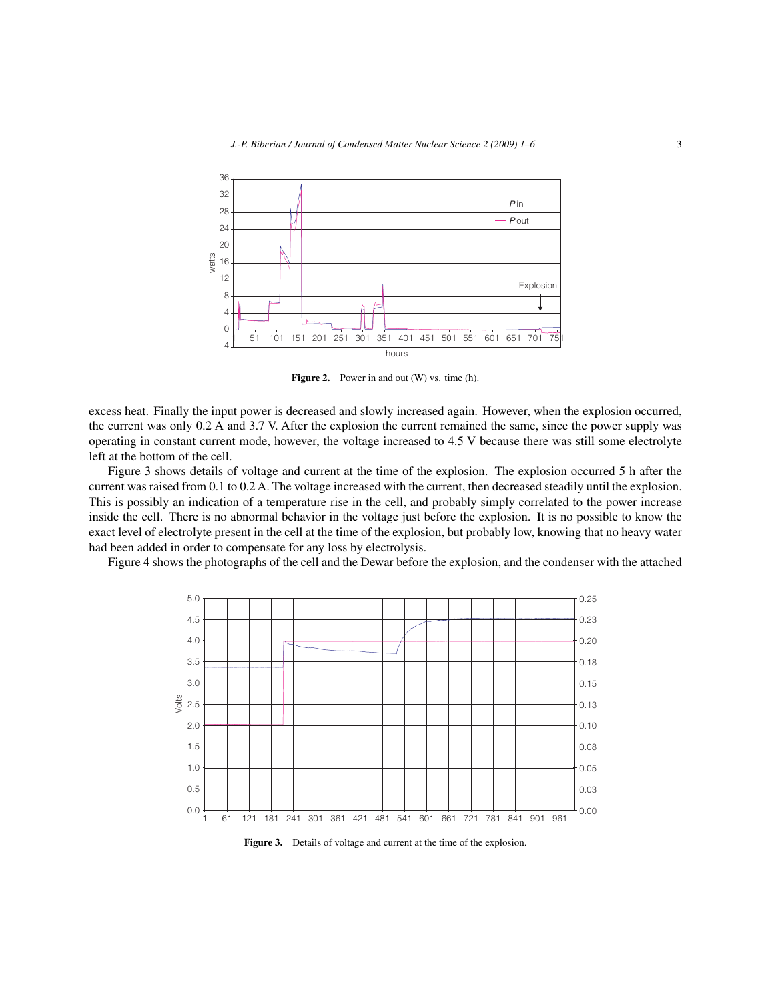

Figure 2. Power in and out (W) vs. time (h).

excess heat. Finally the input power is decreased and slowly increased again. However, when the explosion occurred, the current was only 0.2 A and 3.7 V. After the explosion the current remained the same, since the power supply was operating in constant current mode, however, the voltage increased to 4.5 V because there was still some electrolyte left at the bottom of the cell.

Figure 3 shows details of voltage and current at the time of the explosion. The explosion occurred 5 h after the current was raised from 0.1 to 0.2 A. The voltage increased with the current, then decreased steadily until the explosion. This is possibly an indication of a temperature rise in the cell, and probably simply correlated to the power increase inside the cell. There is no abnormal behavior in the voltage just before the explosion. It is no possible to know the exact level of electrolyte present in the cell at the time of the explosion, but probably low, knowing that no heavy water had been added in order to compensate for any loss by electrolysis.

Figure 4 shows the photographs of the cell and the Dewar before the explosion, and the condenser with the attached



**Figure 3.** Details of voltage and current at the time of the explosion.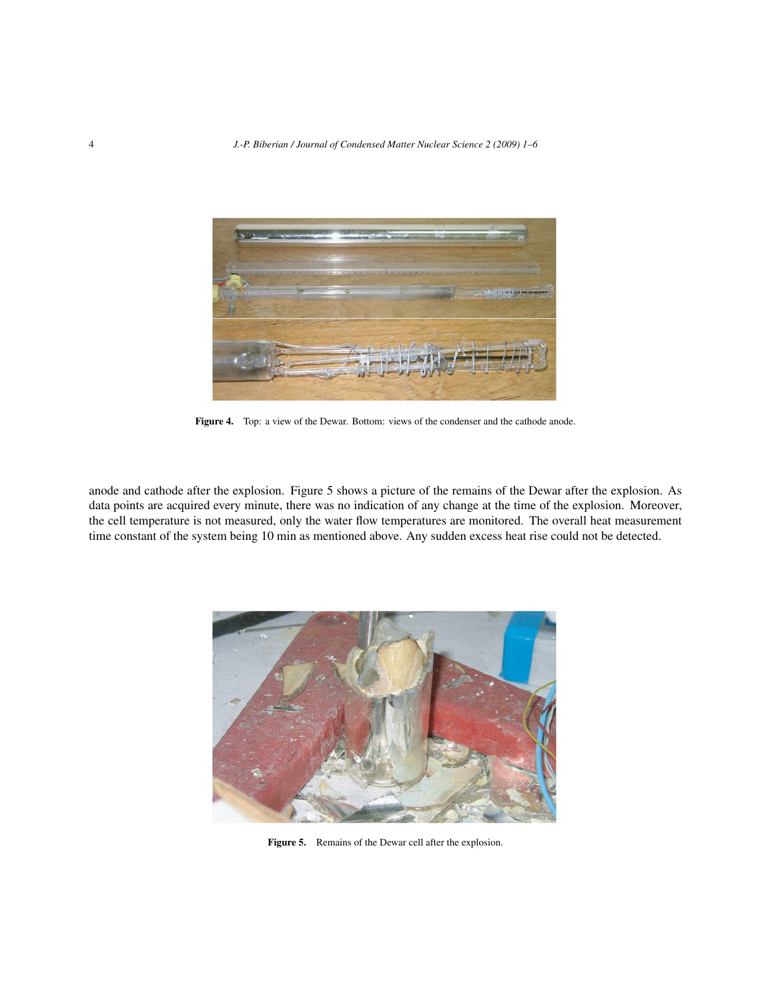

Figure 4. Top: a view of the Dewar. Bottom: views of the condenser and the cathode anode.

anode and cathode after the explosion. Figure 5 shows a picture of the remains of the Dewar after the explosion. As data points are acquired every minute, there was no indication of any change at the time of the explosion. Moreover, the cell temperature is not measured, only the water flow temperatures are monitored. The overall heat measurement time constant of the system being 10 min as mentioned above. Any sudden excess heat rise could not be detected.



**Figure 5.** Remains of the Dewar cell after the explosion.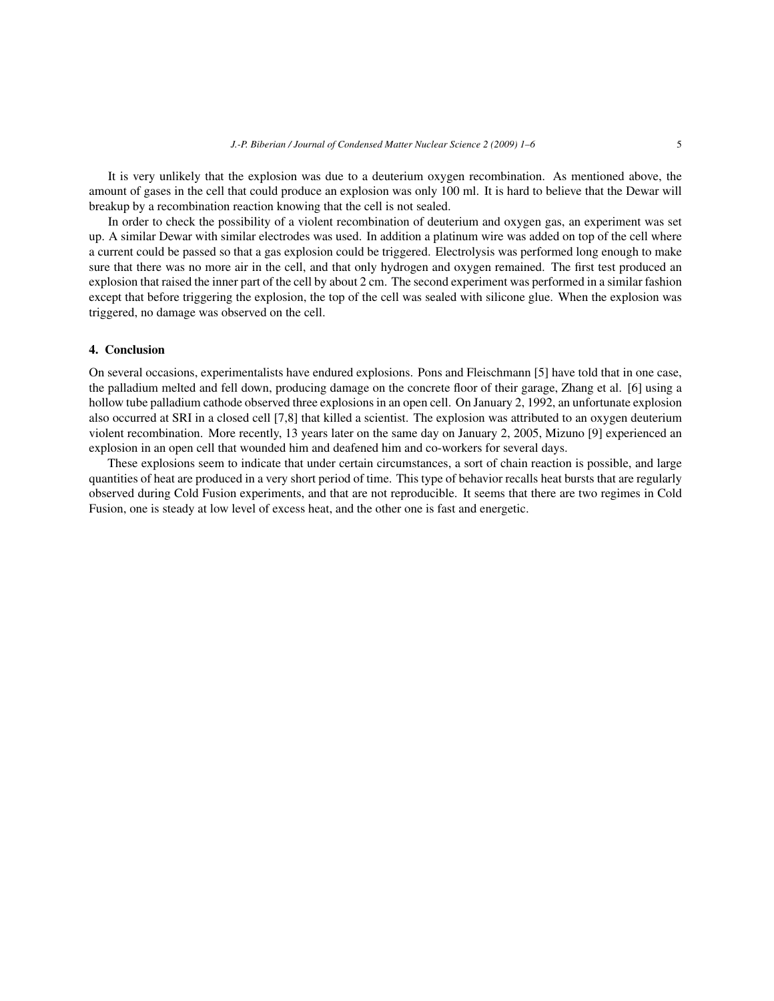It is very unlikely that the explosion was due to a deuterium oxygen recombination. As mentioned above, the amount of gases in the cell that could produce an explosion was only 100 ml. It is hard to believe that the Dewar will breakup by a recombination reaction knowing that the cell is not sealed.

In order to check the possibility of a violent recombination of deuterium and oxygen gas, an experiment was set up. A similar Dewar with similar electrodes was used. In addition a platinum wire was added on top of the cell where a current could be passed so that a gas explosion could be triggered. Electrolysis was performed long enough to make sure that there was no more air in the cell, and that only hydrogen and oxygen remained. The first test produced an explosion that raised the inner part of the cell by about 2 cm. The second experiment was performed in a similar fashion except that before triggering the explosion, the top of the cell was sealed with silicone glue. When the explosion was triggered, no damage was observed on the cell.

#### **4. Conclusion**

On several occasions, experimentalists have endured explosions. Pons and Fleischmann [5] have told that in one case, the palladium melted and fell down, producing damage on the concrete floor of their garage, Zhang et al. [6] using a hollow tube palladium cathode observed three explosions in an open cell. On January 2, 1992, an unfortunate explosion also occurred at SRI in a closed cell [7,8] that killed a scientist. The explosion was attributed to an oxygen deuterium violent recombination. More recently, 13 years later on the same day on January 2, 2005, Mizuno [9] experienced an explosion in an open cell that wounded him and deafened him and co-workers for several days.

These explosions seem to indicate that under certain circumstances, a sort of chain reaction is possible, and large quantities of heat are produced in a very short period of time. This type of behavior recalls heat bursts that are regularly observed during Cold Fusion experiments, and that are not reproducible. It seems that there are two regimes in Cold Fusion, one is steady at low level of excess heat, and the other one is fast and energetic.